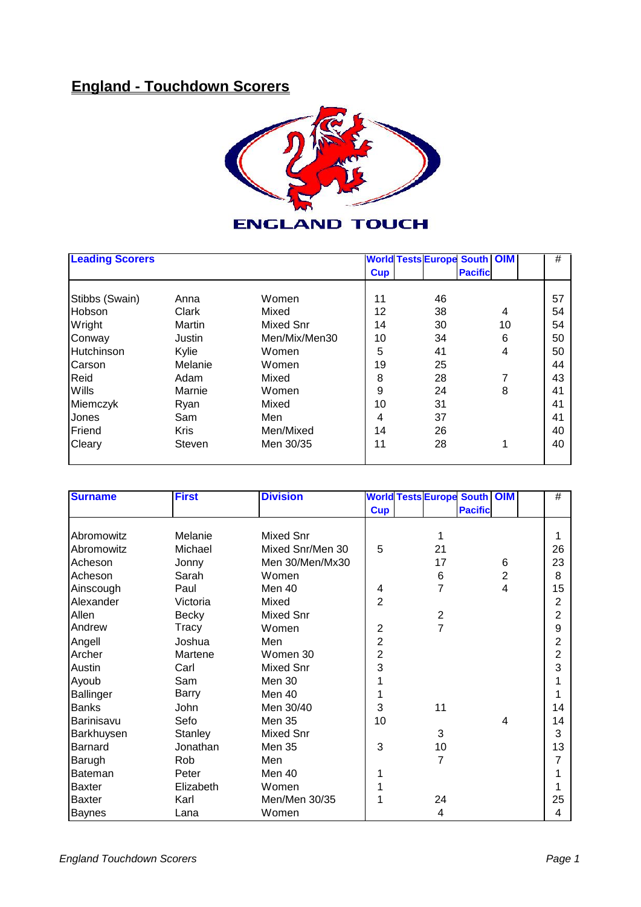## **England - Touchdown Scorers**



## **ENGLAND TOUCH**

| <b>Leading Scorers</b> |             |               |                | <b>World Tests Europe South OIM</b> |                |    | #  |
|------------------------|-------------|---------------|----------------|-------------------------------------|----------------|----|----|
|                        |             |               | <b>Cup</b>     |                                     | <b>Pacific</b> |    |    |
| Stibbs (Swain)         | Anna        | Women         | 11             | 46                                  |                |    | 57 |
| Hobson                 | Clark       | Mixed         | 12             | 38                                  |                | 4  | 54 |
| Wright                 | Martin      | Mixed Snr     | 14             | 30                                  |                | 10 | 54 |
| Conway                 | Justin      | Men/Mix/Men30 | 10             | 34                                  |                | 6  | 50 |
| Hutchinson             | Kylie       | Women         | 5              | 41                                  |                | 4  | 50 |
| Carson                 | Melanie     | Women         | 19             | 25                                  |                |    | 44 |
| Reid                   | Adam        | Mixed         | 8              | 28                                  |                | 7  | 43 |
| Wills                  | Marnie      | Women         | 9              | 24                                  |                | 8  | 41 |
| Miemczyk               | Ryan        | Mixed         | 10             | 31                                  |                |    | 41 |
| Jones                  | Sam         | Men           | $\overline{4}$ | 37                                  |                |    | 41 |
| Friend                 | <b>Kris</b> | Men/Mixed     | 14             | 26                                  |                |    | 40 |
| Cleary                 | Steven      | Men 30/35     | 11             | 28                                  |                | 1  | 40 |
|                        |             |               |                |                                     |                |    |    |

| <b>Surname</b> | <b>First</b> | <b>Division</b>  |                         | <b>World Tests Europe South OIM</b> |                |                | $\overline{\#}$ |
|----------------|--------------|------------------|-------------------------|-------------------------------------|----------------|----------------|-----------------|
|                |              |                  | <b>Cup</b>              |                                     | <b>Pacific</b> |                |                 |
| Abromowitz     | Melanie      | <b>Mixed Snr</b> |                         | 1                                   |                |                | 1               |
| Abromowitz     | Michael      | Mixed Snr/Men 30 | 5                       | 21                                  |                |                | 26              |
| Acheson        | Jonny        | Men 30/Men/Mx30  |                         | 17                                  |                | 6              | 23              |
| Acheson        | Sarah        | Women            |                         | 6                                   |                | $\overline{2}$ | 8               |
| Ainscough      | Paul         | Men 40           | $\overline{\mathbf{4}}$ | $\overline{7}$                      |                | 4              | 15              |
| Alexander      | Victoria     | Mixed            | $\overline{2}$          |                                     |                |                | 2               |
| Allen          | <b>Becky</b> | <b>Mixed Snr</b> |                         | $\overline{\mathbf{c}}$             |                |                | 2               |
| Andrew         | Tracy        | Women            | $\overline{2}$          | $\overline{7}$                      |                |                | 9               |
| Angell         | Joshua       | Men              | $\overline{2}$          |                                     |                |                | $\overline{c}$  |
| Archer         | Martene      | Women 30         | $\overline{2}$          |                                     |                |                | $\overline{c}$  |
| Austin         | Carl         | <b>Mixed Snr</b> | 3                       |                                     |                |                | 3               |
| Ayoub          | Sam          | Men 30           |                         |                                     |                |                | 1               |
| Ballinger      | Barry        | Men 40           |                         |                                     |                |                | 1               |
| <b>Banks</b>   | John         | Men 30/40        | 3                       | 11                                  |                |                | 14              |
| Barinisavu     | Sefo         | <b>Men 35</b>    | 10                      |                                     |                | 4              | 14              |
| Barkhuysen     | Stanley      | <b>Mixed Snr</b> |                         | 3                                   |                |                | 3               |
| Barnard        | Jonathan     | <b>Men 35</b>    | 3                       | 10                                  |                |                | 13              |
| Barugh         | Rob          | Men              |                         | $\overline{7}$                      |                |                | 7               |
| Bateman        | Peter        | Men 40           |                         |                                     |                |                | 1               |
| <b>Baxter</b>  | Elizabeth    | Women            |                         |                                     |                |                | 1               |
| Baxter         | Karl         | Men/Men 30/35    |                         | 24                                  |                |                | 25              |
| <b>Baynes</b>  | Lana         | Women            |                         | 4                                   |                |                | 4               |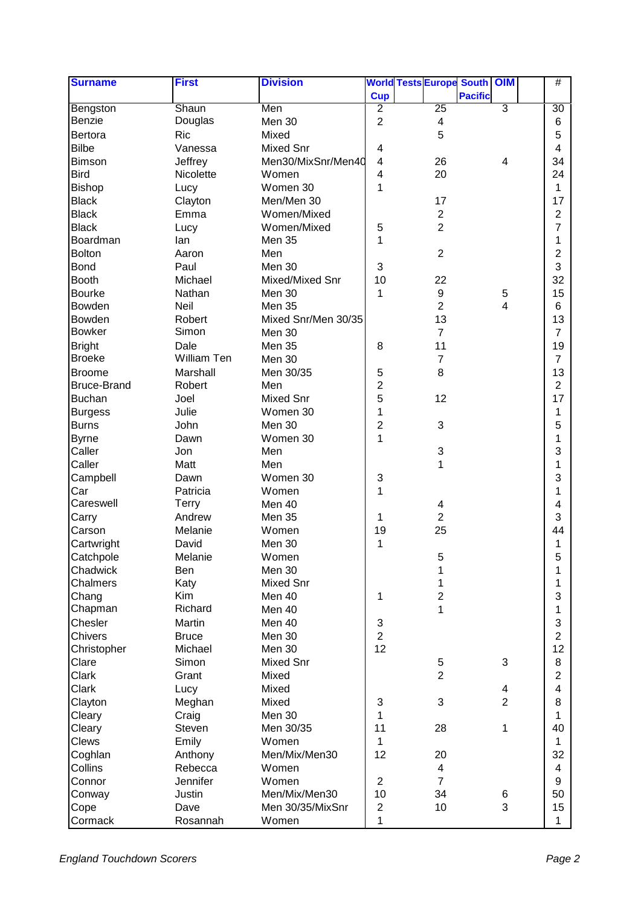| <b>Surname</b>     | <b>First</b>     | <b>Division</b>     |                           | <b>World Tests Europe South OIM</b> |                |                | #                       |
|--------------------|------------------|---------------------|---------------------------|-------------------------------------|----------------|----------------|-------------------------|
|                    |                  |                     | <b>Cup</b>                |                                     | <b>Pacific</b> |                |                         |
| Bengston           | Shaun            | Men                 | $\overline{2}$            | 25                                  |                | $\overline{3}$ | 30                      |
| Benzie             | Douglas          | Men 30              | $\overline{2}$            | 4                                   |                |                | 6                       |
| Bertora            | <b>Ric</b>       | Mixed               |                           | 5                                   |                |                | 5                       |
| <b>Bilbe</b>       | Vanessa          | <b>Mixed Snr</b>    | 4                         |                                     |                |                | $\overline{\mathbf{4}}$ |
| <b>Bimson</b>      | Jeffrey          | Men30/MixSnr/Men40  | $\overline{\mathbf{4}}$   | 26                                  |                | 4              | 34                      |
| <b>Bird</b>        | <b>Nicolette</b> | Women               | 4                         | 20                                  |                |                | 24                      |
| <b>Bishop</b>      | Lucy             | Women 30            | 1                         |                                     |                |                | 1                       |
| <b>Black</b>       | Clayton          | Men/Men 30          |                           | 17                                  |                |                | 17                      |
| <b>Black</b>       | Emma             | Women/Mixed         |                           | $\overline{c}$                      |                |                | 2                       |
| <b>Black</b>       | Lucy             | Women/Mixed         | 5                         | $\overline{c}$                      |                |                | 7                       |
| Boardman           | lan              | Men 35              | 1                         |                                     |                |                | 1                       |
| <b>Bolton</b>      | Aaron            | Men                 |                           | $\overline{2}$                      |                |                | 2                       |
| Bond               | Paul             | Men 30              | 3                         |                                     |                |                | 3                       |
| <b>Booth</b>       | Michael          | Mixed/Mixed Snr     | 10                        | 22                                  |                |                | 32                      |
| <b>Bourke</b>      | Nathan           | Men 30              | 1                         | 9                                   |                | $\,$ 5 $\,$    | 15                      |
| Bowden             | Neil             | Men 35              |                           | $\overline{c}$                      |                | 4              | 6                       |
| Bowden             | Robert           | Mixed Snr/Men 30/35 |                           | 13                                  |                |                | 13                      |
| <b>Bowker</b>      | Simon            | Men 30              |                           | $\overline{7}$                      |                |                | $\overline{7}$          |
| <b>Bright</b>      | Dale             | <b>Men 35</b>       | 8                         | 11                                  |                |                | 19                      |
| <b>Broeke</b>      | William Ten      | Men 30              |                           | $\overline{7}$                      |                |                | $\overline{7}$          |
| <b>Broome</b>      | Marshall         | Men 30/35           | 5                         | 8                                   |                |                | 13                      |
| <b>Bruce-Brand</b> | Robert           | Men                 | $\overline{2}$            |                                     |                |                | $\overline{2}$          |
| <b>Buchan</b>      | Joel             | Mixed Snr           | 5                         | 12                                  |                |                | 17                      |
| <b>Burgess</b>     | Julie            | Women 30            | 1                         |                                     |                |                | 1                       |
| <b>Burns</b>       | John             | Men 30              | $\overline{2}$            | 3                                   |                |                | 5                       |
| <b>Byrne</b>       | Dawn             | Women 30            | $\mathbf{1}$              |                                     |                |                | 1                       |
| Caller             | Jon              | Men                 |                           | 3                                   |                |                | 3                       |
| Caller             | Matt             | Men                 |                           | 1                                   |                |                | 1                       |
| Campbell           | Dawn             | Women 30            | 3                         |                                     |                |                | 3                       |
| Car                | Patricia         | Women               | 1                         |                                     |                |                | 1                       |
| Careswell          | <b>Terry</b>     | Men 40              |                           | 4                                   |                |                | 4                       |
| Carry              | Andrew           | Men 35              | 1                         | $\overline{c}$                      |                |                | 3                       |
| Carson             | Melanie          | Women               | 19                        | 25                                  |                |                | 44                      |
| Cartwright         | David            | Men 30              | 1                         |                                     |                |                | 1                       |
| Catchpole          | Melanie          | Women               |                           | 5                                   |                |                | 5                       |
| Chadwick           | Ben              | Men 30              |                           | 1                                   |                |                | 1                       |
| Chalmers           | Katy             | Mixed Snr           |                           | 1                                   |                |                | 1                       |
| Chang              | Kim              | Men 40              | $\mathbf 1$               | $\overline{\mathbf{c}}$             |                |                | 3                       |
| Chapman            | Richard          | Men 40              |                           | 1                                   |                |                | 1                       |
| Chesler            | Martin           | <b>Men 40</b>       | 3                         |                                     |                |                | 3                       |
| Chivers            | <b>Bruce</b>     | <b>Men 30</b>       | $\overline{2}$            |                                     |                |                | $\overline{2}$          |
| Christopher        | Michael          | Men 30              | 12                        |                                     |                |                | 12                      |
| Clare              | Simon            | Mixed Snr           |                           | 5                                   |                | $\mathbf{3}$   | 8                       |
| Clark              | Grant            | Mixed               |                           | $\overline{2}$                      |                |                | $\overline{2}$          |
| Clark              | Lucy             | Mixed               |                           |                                     |                | 4              | $\overline{\mathbf{4}}$ |
| Clayton            | Meghan           | Mixed               | $\ensuremath{\mathsf{3}}$ | 3                                   |                | $\overline{2}$ | 8                       |
| Cleary             | Craig            | Men 30              | $\mathbf{1}$              |                                     |                |                | 1                       |
| Cleary             | Steven           | Men 30/35           | 11                        | 28                                  |                | 1              | 40                      |
| <b>Clews</b>       | Emily            | Women               | $\mathbf{1}$              |                                     |                |                | 1                       |
| Coghlan            | Anthony          | Men/Mix/Men30       | 12                        | 20                                  |                |                | 32                      |
| Collins            | Rebecca          | Women               |                           | 4                                   |                |                | 4                       |
| Connor             | Jennifer         | Women               | $\overline{2}$            | $\overline{7}$                      |                |                | 9                       |
| Conway             | Justin           | Men/Mix/Men30       | 10                        | 34                                  |                | 6              | 50                      |
| Cope               | Dave             | Men 30/35/MixSnr    | $\overline{2}$            | 10                                  |                | 3              | 15                      |
|                    |                  |                     |                           |                                     |                |                |                         |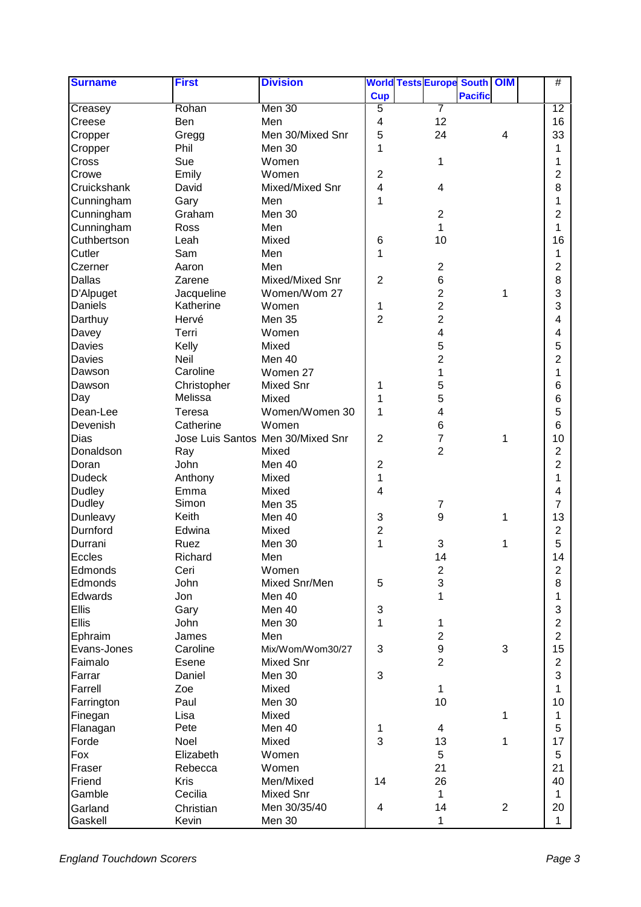| <b>Surname</b> | <b>First</b> | <b>Division</b>                   |                           |                  | <b>World Tests Europe South OIM</b> |                | #               |
|----------------|--------------|-----------------------------------|---------------------------|------------------|-------------------------------------|----------------|-----------------|
|                |              |                                   | <b>Cup</b>                |                  | <b>Pacific</b>                      |                |                 |
| Creasey        | Rohan        | Men 30                            | $\overline{5}$            | 7                |                                     |                | $\overline{12}$ |
| Creese         | Ben          | Men                               | 4                         | 12               |                                     |                | 16              |
| Cropper        | Gregg        | Men 30/Mixed Snr                  | 5                         | 24               |                                     | 4              | 33              |
| Cropper        | Phil         | Men 30                            | 1                         |                  |                                     |                | 1               |
| Cross          | Sue          | Women                             |                           | 1                |                                     |                | 1               |
| Crowe          | Emily        | Women                             | $\overline{2}$            |                  |                                     |                | 2               |
| Cruickshank    | David        | Mixed/Mixed Snr                   | $\overline{\mathbf{4}}$   | 4                |                                     |                | 8               |
| Cunningham     | Gary         | Men                               | 1                         |                  |                                     |                | 1               |
| Cunningham     | Graham       | Men 30                            |                           | $\overline{c}$   |                                     |                | 2               |
|                | Ross         | Men                               |                           | 1                |                                     |                | 1               |
| Cunningham     |              |                                   |                           |                  |                                     |                |                 |
| Cuthbertson    | Leah         | Mixed                             | 6                         | 10               |                                     |                | 16              |
| Cutler         | Sam          | Men                               | 1                         |                  |                                     |                | 1               |
| Czerner        | Aaron        | Men                               |                           | $\overline{c}$   |                                     |                | 2               |
| Dallas         | Zarene       | Mixed/Mixed Snr                   | $\overline{2}$            | 6                |                                     |                | 8               |
| D'Alpuget      | Jacqueline   | Women/Wom 27                      |                           | 2                |                                     | 1              | 3               |
| Daniels        | Katherine    | Women                             | 1                         | $\overline{2}$   |                                     |                | 3               |
| Darthuy        | Hervé        | Men 35                            | $\overline{2}$            | $\overline{2}$   |                                     |                | 4               |
| Davey          | Terri        | Women                             |                           | 4                |                                     |                | 4               |
| Davies         | Kelly        | Mixed                             |                           | 5                |                                     |                | 5               |
| Davies         | Neil         | Men 40                            |                           | $\overline{2}$   |                                     |                | 2               |
| Dawson         | Caroline     | Women 27                          |                           | 1                |                                     |                | 1               |
| Dawson         | Christopher  | <b>Mixed Snr</b>                  | 1                         | 5                |                                     |                | 6               |
| Day            | Melissa      | Mixed                             | 1                         | 5                |                                     |                | 6               |
| Dean-Lee       | Teresa       | Women/Women 30                    | 1                         | 4                |                                     |                | 5               |
| Devenish       | Catherine    | Women                             |                           | 6                |                                     |                | 6               |
| Dias           |              | Jose Luis Santos Men 30/Mixed Snr | $\overline{c}$            | 7                |                                     | 1              | 10              |
| Donaldson      | Ray          | Mixed                             |                           | $\overline{2}$   |                                     |                | $\overline{2}$  |
| Doran          | John         | Men 40                            | $\overline{2}$            |                  |                                     |                | $\overline{c}$  |
| <b>Dudeck</b>  |              |                                   |                           |                  |                                     |                |                 |
|                | Anthony      | Mixed                             | 1                         |                  |                                     |                | 1               |
| Dudley         | Emma         | Mixed                             | $\overline{\mathbf{4}}$   |                  |                                     |                | 4               |
| Dudley         | Simon        | <b>Men 35</b>                     |                           | $\overline{7}$   |                                     |                | 7               |
| Dunleavy       | Keith        | Men 40                            | 3                         | $\boldsymbol{9}$ |                                     | 1              | 13              |
| Durnford       | Edwina       | Mixed                             | $\overline{\mathbf{c}}$   |                  |                                     |                | 2               |
| Durrani        | Ruez         | Men 30                            | 1                         | 3                |                                     | 1              | 5               |
| Eccles         | Richard      | Men                               |                           | 14               |                                     |                | 14              |
| Edmonds        | Ceri         | Women                             |                           | $\boldsymbol{2}$ |                                     |                | $\overline{c}$  |
| Edmonds        | John         | Mixed Snr/Men                     | 5                         | 3                |                                     |                | 8               |
| Edwards        | Jon          | Men 40                            |                           | 1                |                                     |                | 1               |
| Ellis          | Gary         | Men 40                            | $\ensuremath{\mathsf{3}}$ |                  |                                     |                | 3               |
| Ellis          | John         | Men 30                            | $\mathbf{1}$              | 1                |                                     |                | $\overline{c}$  |
| Ephraim        | James        | Men                               |                           | $\overline{2}$   |                                     |                | $\overline{2}$  |
| Evans-Jones    | Caroline     | Mix/Wom/Wom30/27                  | 3                         | 9                |                                     | $\mathfrak{S}$ | 15              |
| Faimalo        | Esene        | Mixed Snr                         |                           | $\overline{2}$   |                                     |                | $\overline{2}$  |
| Farrar         | Daniel       | Men 30                            | $\mathsf 3$               |                  |                                     |                | 3               |
| Farrell        | Zoe          | Mixed                             |                           | 1                |                                     |                | 1               |
| Farrington     | Paul         | Men 30                            |                           | 10               |                                     |                | 10              |
| Finegan        | Lisa         | Mixed                             |                           |                  |                                     | 1              | 1               |
|                | Pete         | Men 40                            |                           | 4                |                                     |                | 5               |
| Flanagan       |              |                                   | 1<br>3                    |                  |                                     |                |                 |
| Forde          | Noel         | Mixed                             |                           | 13               |                                     | 1              | 17              |
| Fox            | Elizabeth    | Women                             |                           | 5                |                                     |                | 5               |
| Fraser         | Rebecca      | Women                             |                           | 21               |                                     |                | 21              |
| Friend         | Kris         | Men/Mixed                         | 14                        | 26               |                                     |                | 40              |
| Gamble         | Cecilia      | Mixed Snr                         |                           | 1                |                                     |                | 1               |
| Garland        | Christian    | Men 30/35/40                      | 4                         | 14               |                                     | $\overline{2}$ | 20              |
| Gaskell        | Kevin        | <b>Men 30</b>                     |                           | 1                |                                     |                | $\mathbf{1}$    |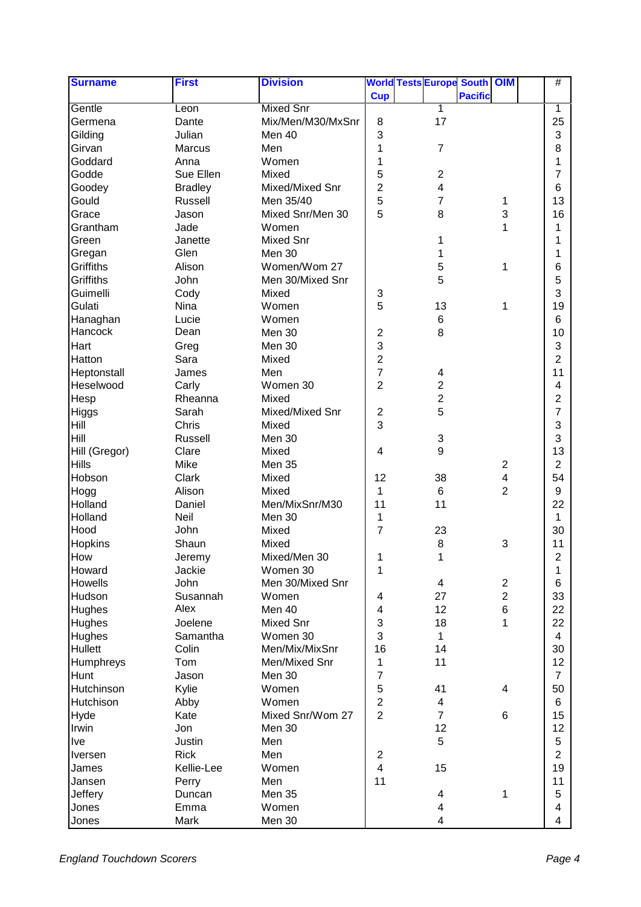| <b>Surname</b>                | <b>First</b>     | <b>Division</b>   |                           |                | <b>World Tests Europe South OIM</b> |                          | #                       |  |
|-------------------------------|------------------|-------------------|---------------------------|----------------|-------------------------------------|--------------------------|-------------------------|--|
|                               |                  |                   | <b>Cup</b>                |                | <b>Pacific</b>                      |                          |                         |  |
| Gentle                        | Leon             | <b>Mixed Snr</b>  |                           | 1              |                                     |                          | 1                       |  |
| Germena                       | Dante            | Mix/Men/M30/MxSnr | 8                         | 17             |                                     |                          | 25                      |  |
| Gilding                       | Julian           | Men 40            | 3                         |                |                                     |                          | 3                       |  |
| Girvan                        | Marcus           | Men               | 1                         | $\overline{7}$ |                                     |                          | 8                       |  |
| Goddard                       | Anna             | Women             | 1                         |                |                                     |                          | 1                       |  |
| Godde                         | Sue Ellen        | Mixed             | 5                         | $\overline{2}$ |                                     |                          | 7                       |  |
| Goodey                        | <b>Bradley</b>   | Mixed/Mixed Snr   | $\overline{2}$            | 4              |                                     |                          | 6                       |  |
| Gould                         | Russell          | Men 35/40         | 5                         | 7              |                                     | 1                        | 13                      |  |
| Grace                         | Jason            | Mixed Snr/Men 30  | 5                         | 8              |                                     | 3                        | 16                      |  |
| Grantham                      | Jade             | Women             |                           |                |                                     | 1                        | 1                       |  |
| Green                         | Janette          | <b>Mixed Snr</b>  |                           | 1              |                                     |                          | 1                       |  |
| Gregan                        | Glen             | Men 30            |                           | 1              |                                     |                          | 1                       |  |
| Griffiths                     | Alison           | Women/Wom 27      |                           | 5              |                                     | 1                        | 6                       |  |
| Griffiths                     | John             | Men 30/Mixed Snr  |                           | 5              |                                     |                          | 5                       |  |
| Guimelli                      | Cody             | Mixed             | $\ensuremath{\mathsf{3}}$ |                |                                     |                          | 3                       |  |
| Gulati                        | Nina             | Women             | 5                         | 13             |                                     | 1                        | 19                      |  |
| Hanaghan                      | Lucie            | Women             |                           | 6              |                                     |                          | 6                       |  |
| Hancock                       | Dean             | Men 30            | $\overline{c}$            | 8              |                                     |                          | 10                      |  |
| Hart                          | Greg             | Men 30            | 3                         |                |                                     |                          | 3                       |  |
| Hatton                        | Sara             | Mixed             | $\overline{2}$            |                |                                     |                          | $\overline{2}$          |  |
| Heptonstall                   | James            | Men               | $\overline{7}$            | 4              |                                     |                          | 11                      |  |
| Heselwood                     | Carly            | Women 30          | $\overline{c}$            | $\overline{c}$ |                                     |                          | 4                       |  |
|                               | Rheanna          | Mixed             |                           | $\overline{2}$ |                                     |                          | 2                       |  |
| Hesp                          | Sarah            | Mixed/Mixed Snr   | $\mathbf 2$               | 5              |                                     |                          | 7                       |  |
| Higgs<br>Hill                 | Chris            | Mixed             | 3                         |                |                                     |                          | 3                       |  |
| Hill                          |                  |                   |                           |                |                                     |                          | 3                       |  |
|                               | Russell<br>Clare | Men 30<br>Mixed   | $\overline{\mathbf{4}}$   | 3<br>9         |                                     |                          | 13                      |  |
| Hill (Gregor)<br><b>Hills</b> | Mike             |                   |                           |                |                                     |                          | $\overline{2}$          |  |
|                               |                  | Men 35            |                           |                |                                     | $\overline{2}$           |                         |  |
| Hobson                        | Clark            | Mixed             | 12                        | 38             |                                     | 4<br>$\overline{2}$      | 54                      |  |
| Hogg                          | Alison           | Mixed             | 1                         | 6              |                                     |                          | 9                       |  |
| Holland                       | Daniel           | Men/MixSnr/M30    | 11                        | 11             |                                     |                          | 22                      |  |
| Holland                       | Neil             | Men 30            | 1                         |                |                                     |                          | 1                       |  |
| Hood                          | John             | Mixed             | $\overline{7}$            | 23             |                                     |                          | 30                      |  |
| Hopkins                       | Shaun            | Mixed             |                           | 8              |                                     | 3                        | 11                      |  |
| How                           | Jeremy           | Mixed/Men 30      | 1                         | 1              |                                     |                          | $\overline{\mathbf{c}}$ |  |
| Howard                        | Jackie           | Women 30          | 1                         |                |                                     |                          | 1                       |  |
| Howells                       | John             | Men 30/Mixed Snr  |                           | 4              |                                     | $\overline{\mathbf{c}}$  | 6                       |  |
| Hudson                        | Susannah         | Women             | 4                         | 27             |                                     | $\overline{c}$           | 33                      |  |
| Hughes                        | Alex             | Men 40            | 4                         | 12             |                                     | 6                        | 22                      |  |
| Hughes                        | Joelene          | <b>Mixed Snr</b>  | 3                         | 18             |                                     | 1                        | 22                      |  |
| Hughes                        | Samantha         | Women 30          | 3                         | 1              |                                     |                          | 4                       |  |
| Hullett                       | Colin            | Men/Mix/MixSnr    | 16                        | 14             |                                     |                          | 30                      |  |
| Humphreys                     | Tom              | Men/Mixed Snr     | 1                         | 11             |                                     |                          | 12                      |  |
| Hunt                          | Jason            | Men 30            | $\overline{7}$            |                |                                     |                          | $\overline{7}$          |  |
| Hutchinson                    | Kylie            | Women             | 5                         | 41             |                                     | $\overline{\mathcal{A}}$ | 50                      |  |
| Hutchison                     | Abby             | Women             | $\overline{2}$            | 4              |                                     |                          | 6                       |  |
| Hyde                          | Kate             | Mixed Snr/Wom 27  | $\overline{2}$            | $\overline{7}$ |                                     | 6                        | 15                      |  |
| Irwin                         | Jon              | Men 30            |                           | 12             |                                     |                          | 12                      |  |
| Ive                           | Justin           | Men               |                           | 5              |                                     |                          | 5                       |  |
| Iversen                       | <b>Rick</b>      | Men               | $\overline{c}$            |                |                                     |                          | $\overline{c}$          |  |
| James                         | Kellie-Lee       | Women             | $\overline{\mathbf{4}}$   | 15             |                                     |                          | 19                      |  |
| Jansen                        | Perry            | Men               | 11                        |                |                                     |                          | 11                      |  |
| Jeffery                       | Duncan           | Men 35            |                           | 4              |                                     | 1                        | 5                       |  |
| Jones                         | Emma             | Women             |                           | 4              |                                     |                          | 4                       |  |
| Jones                         | Mark             | <b>Men 30</b>     |                           | 4              |                                     |                          | 4                       |  |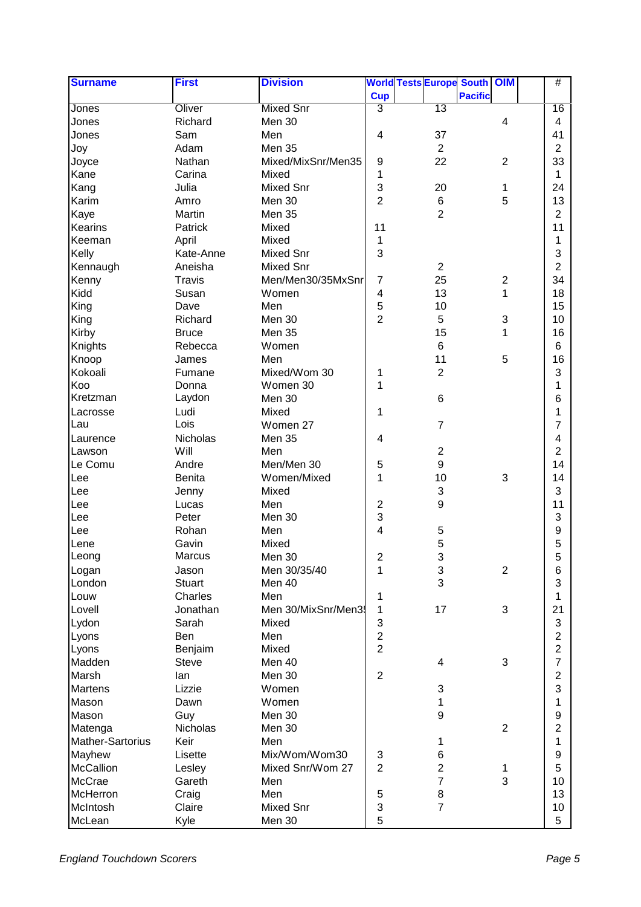| <b>Surname</b>   | <b>First</b>     | <b>Division</b>    |                           |                                | <b>World Tests Europe South OIM</b> |                | #                         |
|------------------|------------------|--------------------|---------------------------|--------------------------------|-------------------------------------|----------------|---------------------------|
|                  |                  |                    | <b>Cup</b>                |                                | <b>Pacific</b>                      |                |                           |
| Jones            | Oliver           | <b>Mixed Snr</b>   | $\overline{3}$            | 13                             |                                     |                | 16                        |
| Jones            | Richard          | Men 30             |                           |                                |                                     | $\overline{4}$ | 4                         |
| Jones            | Sam              | Men                | 4                         | 37                             |                                     |                | 41                        |
| Joy              | Adam             | Men 35             |                           | $\overline{2}$                 |                                     |                | $\overline{2}$            |
| Joyce            | Nathan           | Mixed/MixSnr/Men35 | $\boldsymbol{9}$          | 22                             |                                     | $\overline{2}$ | 33                        |
| Kane             | Carina           | Mixed              | 1                         |                                |                                     |                | 1                         |
| Kang             | Julia            | <b>Mixed Snr</b>   | $\mathsf 3$               | 20                             |                                     | 1              | 24                        |
| Karim            | Amro             | Men 30             | $\overline{2}$            | $\,6$                          |                                     | 5              | 13                        |
| Kaye             | Martin           | <b>Men 35</b>      |                           | $\overline{2}$                 |                                     |                | 2                         |
| Kearins          | Patrick          | Mixed              | 11                        |                                |                                     |                | 11                        |
| Keeman           | April            | Mixed              | 1                         |                                |                                     |                | 1                         |
| Kelly            | Kate-Anne        | <b>Mixed Snr</b>   | 3                         |                                |                                     |                | $\ensuremath{\mathsf{3}}$ |
| Kennaugh         | Aneisha          | <b>Mixed Snr</b>   |                           | $\overline{2}$                 |                                     |                | $\overline{2}$            |
| Kenny            | <b>Travis</b>    | Men/Men30/35MxSnr  | $\overline{7}$            | 25                             |                                     | $\sqrt{2}$     | 34                        |
| Kidd             | Susan            | Women              | $\overline{\mathbf{4}}$   | 13                             |                                     | $\mathbf{1}$   | 18                        |
| King             | Dave             | Men                | 5                         | 10                             |                                     |                | 15                        |
| King             | Richard          | Men 30             | $\overline{2}$            | 5                              |                                     | $\sqrt{3}$     | 10                        |
| Kirby            | <b>Bruce</b>     | Men 35             |                           | 15                             |                                     | 1              | 16                        |
| Knights          | Rebecca          | Women              |                           | $\,6$                          |                                     |                | 6                         |
| Knoop            | James            | Men                |                           | 11                             |                                     | $\overline{5}$ | 16                        |
| Kokoali          | Fumane           | Mixed/Wom 30       | 1                         | $\overline{2}$                 |                                     |                | 3                         |
| Koo              | Donna            | Women 30           | 1                         |                                |                                     |                | 1                         |
| Kretzman         | Laydon           | Men 30             |                           | $\,6$                          |                                     |                | 6                         |
| Lacrosse         | Ludi             | Mixed              | 1                         |                                |                                     |                | 1                         |
| Lau              | Lois             | Women 27           |                           | $\overline{7}$                 |                                     |                | $\overline{7}$            |
| Laurence         | Nicholas         | Men 35             | 4                         |                                |                                     |                | 4                         |
| Lawson           | Will             | Men                |                           | $\sqrt{2}$                     |                                     |                | $\overline{2}$            |
| Le Comu          | Andre            | Men/Men 30         | 5                         | 9                              |                                     |                | 14                        |
| Lee              | Benita           | Women/Mixed        | 1                         | 10                             |                                     | 3              | 14                        |
| Lee              | Jenny            | Mixed              |                           | 3                              |                                     |                | 3                         |
| Lee              | Lucas            | Men                | $\overline{c}$            | $\boldsymbol{9}$               |                                     |                | 11                        |
| Lee              | Peter            | Men 30             | 3                         |                                |                                     |                | 3                         |
| Lee              | Rohan            | Men                | 4                         | 5                              |                                     |                | 9                         |
| Lene             | Gavin            | Mixed              |                           | 5                              |                                     |                | $\mathbf 5$               |
| Leong            | <b>Marcus</b>    | Men 30             | 2                         | d.                             |                                     |                | 5                         |
| Logan            | Jason            | Men 30/35/40       | 1                         | ◡<br>$\ensuremath{\mathsf{3}}$ |                                     | $\overline{2}$ | 6                         |
| London           | <b>Stuart</b>    | Men 40             |                           | 3                              |                                     |                | 3                         |
| Louw             | Charles          | Men                | 1                         |                                |                                     |                | 1                         |
| Lovell           | Jonathan         | Men 30/MixSnr/Men3 | 1                         | 17                             |                                     | $\mathfrak{B}$ | 21                        |
| Lydon            | Sarah            | Mixed              | $\ensuremath{\mathsf{3}}$ |                                |                                     |                | 3                         |
| Lyons            | Ben              | Men                | $\overline{c}$            |                                |                                     |                | $\boldsymbol{2}$          |
| Lyons            | Benjaim          | Mixed              | $\overline{2}$            |                                |                                     |                | $\overline{c}$            |
| Madden           | <b>Steve</b>     | Men 40             |                           | 4                              |                                     | $\mathfrak{B}$ | $\overline{7}$            |
| Marsh            | lan              | Men 30             | $\overline{2}$            |                                |                                     |                | $\overline{c}$            |
| Martens          | Lizzie           | Women              |                           | $\ensuremath{\mathsf{3}}$      |                                     |                | 3                         |
| Mason            | Dawn             | Women              |                           | 1                              |                                     |                | 1                         |
| Mason            | Guy              | Men 30             |                           | $\boldsymbol{9}$               |                                     |                | $\boldsymbol{9}$          |
| Matenga          | Nicholas         | Men 30             |                           |                                |                                     | $\overline{2}$ | $\overline{\mathbf{c}}$   |
| Mather-Sartorius | Keir             | Men                |                           | 1                              |                                     |                | 1                         |
| Mayhew           | Lisette          | Mix/Wom/Wom30      | 3                         | $\,6$                          |                                     |                | $\boldsymbol{9}$          |
| McCallion        |                  | Mixed Snr/Wom 27   | $\overline{2}$            | $\overline{c}$                 |                                     |                | 5                         |
| McCrae           | Lesley<br>Gareth |                    |                           | $\overline{7}$                 |                                     | 1<br>3         | 10                        |
|                  |                  | Men                |                           |                                |                                     |                |                           |
| McHerron         | Craig            | Men                | $\mathbf 5$               | $\bf 8$<br>$\overline{7}$      |                                     |                | 13                        |
| McIntosh         | Claire           | <b>Mixed Snr</b>   | $\sqrt{3}$                |                                |                                     |                | 10                        |
| McLean           | Kyle             | Men 30             | 5                         |                                |                                     |                | 5                         |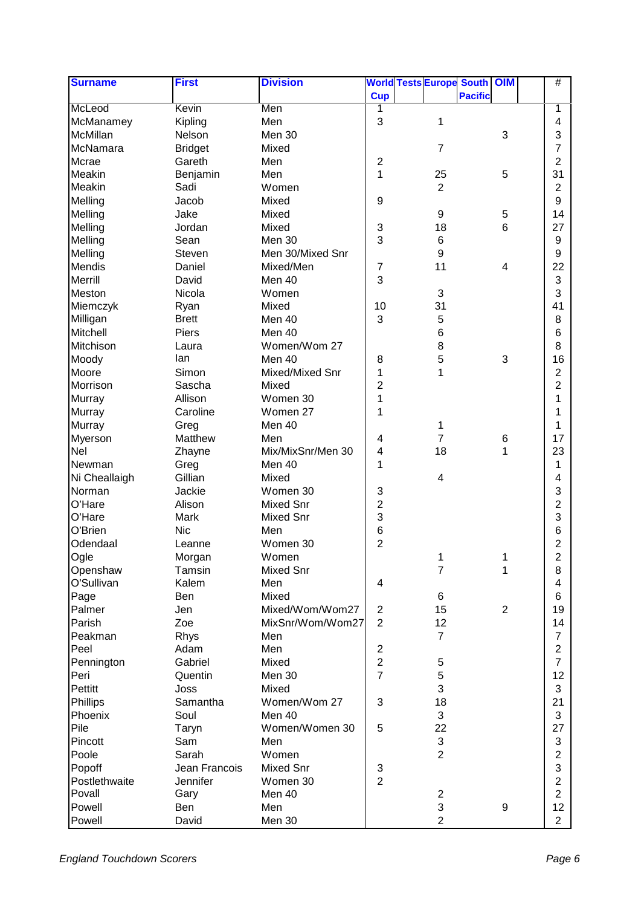| <b>Surname</b>          | <b>First</b>   | <b>Division</b>   |                         | <b>World Tests Europe South OIM</b> |                | #                                         |
|-------------------------|----------------|-------------------|-------------------------|-------------------------------------|----------------|-------------------------------------------|
|                         |                |                   | <b>Cup</b>              |                                     | <b>Pacific</b> |                                           |
| McLeod                  | Kevin          | Men               | 1                       |                                     |                | 1                                         |
| McManamey               | Kipling        | Men               | 3                       | 1                                   |                | 4                                         |
| McMillan                | Nelson         | Men 30            |                         |                                     | $\mathbf{3}$   | 3                                         |
| McNamara                | <b>Bridget</b> | Mixed             |                         | $\overline{7}$                      |                | 7                                         |
| Mcrae                   | Gareth         | Men               | $\overline{2}$          |                                     |                | 2                                         |
| Meakin                  | Benjamin       | Men               | 1                       | 25                                  | 5              | 31                                        |
| Meakin                  | Sadi           | Women             |                         | $\overline{2}$                      |                | $\overline{2}$                            |
| Melling                 | Jacob          | Mixed             | $\boldsymbol{9}$        |                                     |                | 9                                         |
| Melling                 | Jake           | Mixed             |                         | $\boldsymbol{9}$                    | 5              | 14                                        |
| Melling                 | Jordan         | Mixed             | 3                       | 18                                  | 6              | 27                                        |
| Melling                 | Sean           | Men 30            | 3                       | 6                                   |                | 9                                         |
| Melling                 | Steven         | Men 30/Mixed Snr  |                         | 9                                   |                | 9                                         |
| Mendis                  | Daniel         | Mixed/Men         | $\boldsymbol{7}$        | 11                                  | 4              | 22                                        |
| Merrill                 | David          | Men 40            | 3                       |                                     |                | 3                                         |
| Meston                  | Nicola         | Women             |                         | 3                                   |                | 3                                         |
| Miemczyk                | Ryan           | Mixed             | 10                      | 31                                  |                | 41                                        |
| Milligan                | <b>Brett</b>   | Men 40            | 3                       | 5                                   |                | 8                                         |
| Mitchell                | Piers          | Men 40            |                         | $\,6$                               |                | 6                                         |
| Mitchison               | Laura          | Women/Wom 27      |                         | 8                                   |                | 8                                         |
| Moody                   | lan            | Men 40            | 8                       | 5                                   | 3              | 16                                        |
| Moore                   | Simon          | Mixed/Mixed Snr   | 1                       | 1                                   |                | 2                                         |
| Morrison                | Sascha         | Mixed             | $\overline{2}$          |                                     |                | $\overline{2}$                            |
| Murray                  | Allison        | Women 30          | 1                       |                                     |                | 1                                         |
| Murray                  | Caroline       | Women 27          | 1                       |                                     |                | 1                                         |
| Murray                  | Greg           | Men 40            |                         | 1                                   |                | 1                                         |
| Myerson                 | Matthew        | Men               | 4                       | 7                                   | $\,6$          | 17                                        |
| Nel                     | Zhayne         | Mix/MixSnr/Men 30 | $\overline{\mathbf{4}}$ | 18                                  | 1              | 23                                        |
| Newman                  | Greg           | Men 40            | 1                       |                                     |                | 1                                         |
| Ni Cheallaigh           | Gillian        | Mixed             |                         | 4                                   |                | 4                                         |
| Norman                  | Jackie         | Women 30          | 3                       |                                     |                | 3                                         |
| O'Hare                  | Alison         | <b>Mixed Snr</b>  | 2                       |                                     |                | 2                                         |
| O'Hare                  | Mark           | <b>Mixed Snr</b>  | 3                       |                                     |                | 3                                         |
| O'Brien                 | <b>Nic</b>     | Men               | 6                       |                                     |                | 6                                         |
| Odendaal                | Leanne         | Women 30          | $\overline{2}$          |                                     |                | 2                                         |
| Ogle                    | Morgan         | Women             |                         | 1                                   | 1              | $\mathcal{L}$                             |
| Openshaw                | Tamsin         | Mixed Snr         |                         | $\overline{7}$                      | 1              | ے<br>8                                    |
| O'Sullivan              | Kalem          | Men               | 4                       |                                     |                | 4                                         |
| Page                    | Ben            | Mixed             |                         | 6                                   |                | 6                                         |
| Palmer                  | Jen            | Mixed/Wom/Wom27   | $\overline{2}$          | 15                                  | $\overline{2}$ | 19                                        |
| Parish                  | Zoe            | MixSnr/Wom/Wom27  | $\overline{2}$          | 12                                  |                | 14                                        |
| Peakman                 | Rhys           | Men               |                         | $\overline{7}$                      |                | $\overline{7}$                            |
| Peel                    | Adam           | Men               | $\overline{2}$          |                                     |                | $\overline{c}$                            |
| Pennington              | Gabriel        | Mixed             | $\overline{c}$          | $\mathbf 5$                         |                | $\overline{7}$                            |
| Peri                    | Quentin        | Men 30            | $\overline{7}$          | 5                                   |                | 12                                        |
| Pettitt                 | Joss           | Mixed             |                         | 3                                   |                | 3                                         |
| Phillips                | Samantha       | Women/Wom 27      | 3                       | 18                                  |                | 21                                        |
| Phoenix                 | Soul           | Men 40            |                         | 3                                   |                | 3                                         |
| Pile                    | Taryn          | Women/Women 30    | 5                       | 22                                  |                | 27                                        |
| Pincott                 | Sam            | Men               |                         |                                     |                |                                           |
| Poole                   | Sarah          | Women             |                         | $\frac{3}{2}$                       |                | 3<br>$\overline{c}$                       |
|                         | Jean Francois  | Mixed Snr         |                         |                                     |                | 3                                         |
| Popoff                  |                |                   | 3<br>$\overline{2}$     |                                     |                |                                           |
| Postlethwaite<br>Povall | Jennifer       | Women 30          |                         |                                     |                | $\overline{\mathbf{c}}$<br>$\overline{2}$ |
|                         | Gary           | Men 40            |                         | $\overline{c}$                      |                |                                           |
| Powell                  | Ben            | Men               |                         | 3                                   | 9              | 12                                        |
| Powell                  | David          | Men 30            |                         | $\overline{2}$                      |                | $\overline{2}$                            |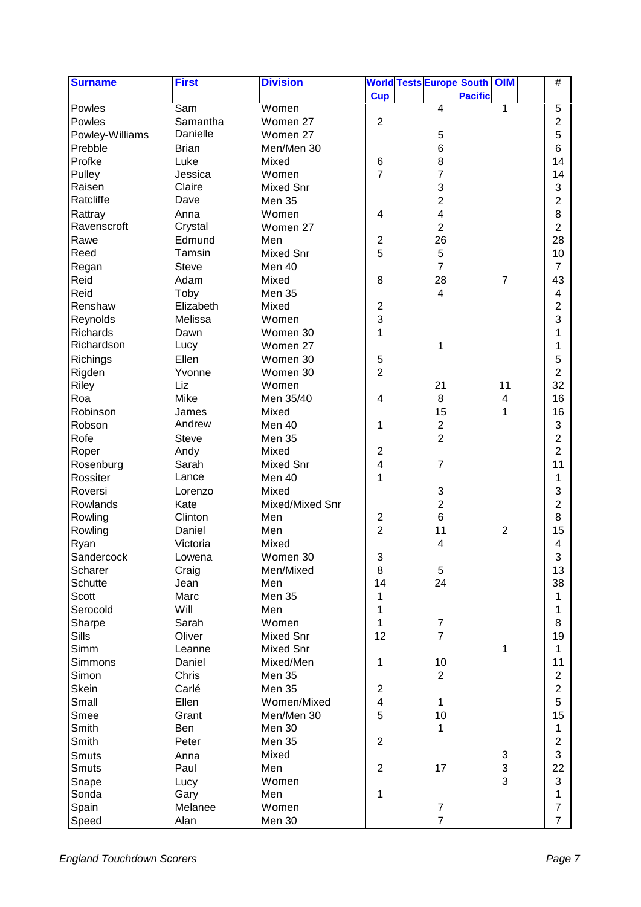| <b>Surname</b><br><b>Division</b><br><b>World Tests Europe South OIM</b><br><b>First</b> | #                       |
|------------------------------------------------------------------------------------------|-------------------------|
| <b>Cup</b><br><b>Pacific</b>                                                             |                         |
| Women<br>Powles<br>Sam<br>$\overline{4}$<br>1                                            | $\overline{5}$          |
| $\overline{2}$<br>Powles<br>Samantha<br>Women 27                                         | 2                       |
| Danielle<br>Powley-Williams<br>$\mathbf 5$<br>Women 27                                   | 5                       |
| $\,6$<br>Prebble<br><b>Brian</b><br>Men/Men 30                                           | 6                       |
| 8<br>Profke<br>Luke<br>6<br>Mixed                                                        | 14                      |
| $\overline{7}$<br>$\overline{7}$<br>Pulley<br>Women<br>Jessica                           | 14                      |
| 3<br>Raisen<br>Claire<br><b>Mixed Snr</b>                                                | 3                       |
| Ratcliffe<br>Dave<br>$\overline{2}$<br>Men 35                                            | 2                       |
| 4<br>Rattray<br>Anna<br>Women<br>$\overline{\mathbf{4}}$                                 | 8                       |
| Ravenscroft<br>$\overline{2}$<br>Crystal<br>Women 27                                     | $\overline{2}$          |
| 26<br>Rawe<br>Edmund<br>Men<br>$\mathbf 2$                                               | 28                      |
| Reed<br>5<br>Tamsin<br>5<br><b>Mixed Snr</b>                                             | 10                      |
| 7<br>Regan<br><b>Steve</b><br>Men 40                                                     | $\overline{7}$          |
| Reid<br>8<br>28<br>Adam<br>Mixed<br>$\overline{7}$                                       | 43                      |
| Reid<br>Toby<br>Men 35<br>4                                                              | 4                       |
| $\mathbf 2$<br>Renshaw<br>Elizabeth<br>Mixed                                             | 2                       |
| 3<br>Reynolds<br>Melissa<br>Women                                                        | 3                       |
| Richards<br>1<br>Dawn<br>Women 30                                                        | 1                       |
| Richardson<br>Lucy<br>1<br>Women 27                                                      | 1                       |
| Ellen                                                                                    |                         |
| 5<br>Richings<br>Women 30<br>$\overline{2}$<br>Women 30<br>Yvonne                        | 5<br>$\overline{2}$     |
| Rigden                                                                                   |                         |
| 21<br>11<br>Riley<br>Liz<br>Women                                                        | 32                      |
| Mike<br>8<br>Roa<br>Men 35/40<br>4<br>$\overline{\mathbf{4}}$                            | 16                      |
| 15<br>Robinson<br>1<br>Mixed<br>James                                                    | 16                      |
| Andrew<br>Robson<br>$\overline{c}$<br>Men 40<br>1                                        | 3                       |
| $\overline{2}$<br>Rofe<br><b>Steve</b><br>Men 35                                         | 2                       |
| $\overline{2}$<br>Mixed<br>Roper<br>Andy                                                 | $\overline{2}$          |
| $\overline{\mathbf{4}}$<br>Rosenburg<br>Sarah<br><b>Mixed Snr</b><br>$\overline{7}$      | 11                      |
| Lance<br>1<br>Rossiter<br>Men 40                                                         | 1                       |
| Roversi<br>Mixed<br>3<br>Lorenzo                                                         | 3                       |
| $\overline{c}$<br>Rowlands<br>Kate<br>Mixed/Mixed Snr                                    | 2                       |
| $\,6$<br>Rowling<br>Clinton<br>$\mathbf 2$<br>Men                                        | 8                       |
| $\overline{2}$<br>11<br>$\overline{2}$<br>Rowling<br>Men<br>Daniel                       | 15                      |
| Victoria<br>Mixed<br>4<br>Ryan                                                           | 4                       |
| Sandercock<br>Women 30<br>3<br>Lowena                                                    | 3                       |
| 8<br>$\sqrt{5}$<br>Scharer<br>Men/Mixed<br>Craig                                         | 13                      |
| 14<br>24<br>Schutte<br>Jean<br>Men                                                       | 38                      |
| Marc<br>Men 35<br>Scott<br>1                                                             | 1                       |
| Serocold<br>Will<br>Men<br>1                                                             | 1                       |
| Sharpe<br>$\mathbf{1}$<br>Women<br>$\boldsymbol{7}$<br>Sarah                             | 8                       |
| $\overline{7}$<br>Sills<br>12<br>Oliver<br>Mixed Snr                                     | 19                      |
| Simm<br><b>Mixed Snr</b><br>1<br>Leanne                                                  | 1                       |
| 10<br>Simmons<br>Mixed/Men<br>$\mathbf 1$<br>Daniel                                      | 11                      |
| Simon<br>Chris<br>$\overline{2}$<br><b>Men 35</b>                                        | $\overline{c}$          |
| $\overline{2}$<br>Skein<br>Carlé<br>Men 35                                               | $\overline{2}$          |
| $\overline{4}$<br>Small<br>Ellen<br>Women/Mixed<br>1                                     | 5                       |
| 5<br>10<br>Men/Men 30<br>Smee<br>Grant                                                   | 15                      |
| Smith<br>Men 30<br>Ben<br>1                                                              | 1                       |
| $\overline{2}$<br>Smith<br>Peter<br>Men 35                                               | $\boldsymbol{2}$        |
| Mixed<br>3<br>Smuts<br>Anna                                                              | 3                       |
| $\overline{2}$<br>17<br>Men<br>Paul<br>Smuts                                             | 22                      |
| $\frac{3}{3}$<br>Women<br>Snape<br>Lucy                                                  | 3                       |
| 1<br>Men<br>Sonda<br>Gary                                                                | 1                       |
| Melanee<br>Women<br>Spain<br>$\overline{7}$                                              | $\overline{\mathbf{7}}$ |
| $\overline{7}$<br>Men 30<br>Speed<br>Alan                                                | $\overline{7}$          |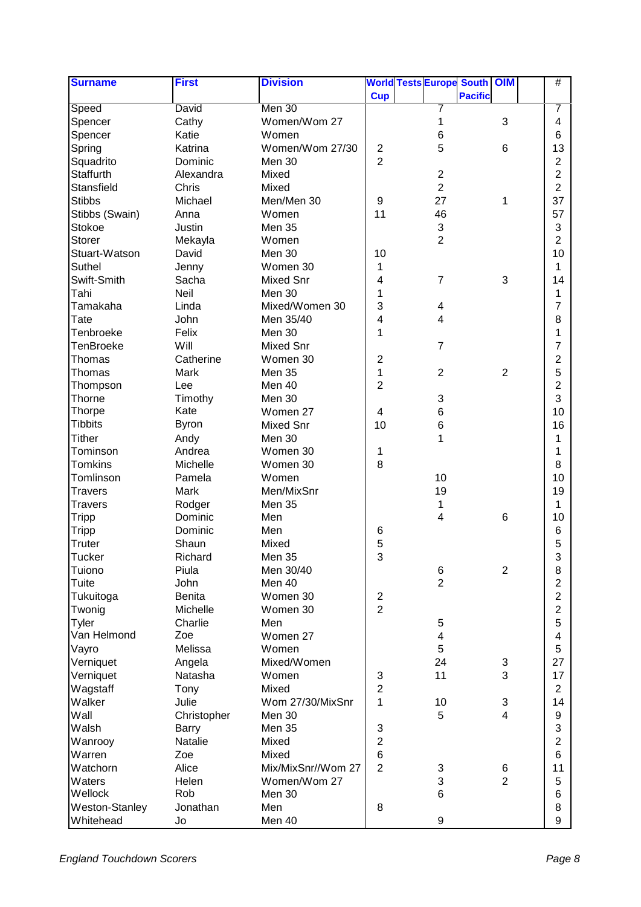| <b>Surname</b>        | <b>First</b>   | <b>Division</b>    |                         |                           | <b>World Tests Europe South OIM</b> |                 | #                       |
|-----------------------|----------------|--------------------|-------------------------|---------------------------|-------------------------------------|-----------------|-------------------------|
|                       |                |                    | <b>Cup</b>              |                           | <b>Pacific</b>                      |                 |                         |
| Speed                 | David          | Men 30             |                         |                           |                                     |                 | 7                       |
| Spencer               | Cathy          | Women/Wom 27       |                         | 1                         |                                     | $\mathbf{3}$    | 4                       |
| Spencer               | Katie          | Women              |                         | 6                         |                                     |                 | 6                       |
| Spring                | Katrina        | Women/Wom 27/30    | $\overline{c}$          | 5                         |                                     | $\,6$           | 13                      |
| Squadrito             | Dominic        | Men 30             | $\overline{2}$          |                           |                                     |                 | 2                       |
| Staffurth             | Alexandra      | Mixed              |                         | $\overline{2}$            |                                     |                 | 2                       |
| Stansfield            | Chris          | Mixed              |                         | $\overline{2}$            |                                     |                 | $\overline{2}$          |
| <b>Stibbs</b>         | Michael        | Men/Men 30         | 9                       | 27                        |                                     | 1               | 37                      |
| Stibbs (Swain)        | Anna           | Women              | 11                      | 46                        |                                     |                 | 57                      |
| Stokoe                | Justin         | Men 35             |                         | $\ensuremath{\mathsf{3}}$ |                                     |                 | 3                       |
| <b>Storer</b>         | Mekayla        | Women              |                         | $\overline{c}$            |                                     |                 | 2                       |
| Stuart-Watson         | David          | Men 30             | 10                      |                           |                                     |                 | 10                      |
| Suthel                | Jenny          | Women 30           | 1                       |                           |                                     |                 | 1                       |
| Swift-Smith           | Sacha          | <b>Mixed Snr</b>   | 4                       | $\overline{7}$            |                                     | 3               | 14                      |
| Tahi                  | Neil           | Men 30             | 1                       |                           |                                     |                 | 1                       |
| Tamakaha              | Linda          | Mixed/Women 30     | 3                       | 4                         |                                     |                 | 7                       |
| Tate                  | John           | Men 35/40          | 4                       | 4                         |                                     |                 | 8                       |
| Tenbroeke             | Felix          | Men 30             | 1                       |                           |                                     |                 | 1                       |
| TenBroeke             | Will           | Mixed Snr          |                         | $\overline{7}$            |                                     |                 | 7                       |
| Thomas                | Catherine      | Women 30           | $\overline{2}$          |                           |                                     |                 | 2                       |
| Thomas                | Mark           | Men 35             | $\mathbf{1}$            | $\overline{2}$            |                                     | 2               | 5                       |
| Thompson              | Lee            | Men 40             | $\overline{2}$          |                           |                                     |                 | 2                       |
| Thorne                | Timothy        | Men 30             |                         | 3                         |                                     |                 | 3                       |
| Thorpe                | Kate           | Women 27           | $\overline{\mathbf{4}}$ | 6                         |                                     |                 | 10                      |
| <b>Tibbits</b>        | <b>Byron</b>   | Mixed Snr          | 10                      | 6                         |                                     |                 | 16                      |
| <b>Tither</b>         |                | Men 30             |                         | 1                         |                                     |                 |                         |
| Tominson              | Andy<br>Andrea | Women 30           |                         |                           |                                     |                 | 1                       |
| <b>Tomkins</b>        | Michelle       | Women 30           | 1<br>8                  |                           |                                     |                 | 1                       |
|                       |                |                    |                         |                           |                                     |                 | 8                       |
| Tomlinson             | Pamela         | Women              |                         | 10                        |                                     |                 | 10                      |
| <b>Travers</b>        | Mark           | Men/MixSnr         |                         | 19                        |                                     |                 | 19                      |
| <b>Travers</b>        | Rodger         | Men 35             |                         | 1                         |                                     |                 | 1                       |
| <b>Tripp</b>          | Dominic        | Men                |                         | 4                         |                                     | $6\phantom{1}6$ | 10                      |
| <b>Tripp</b>          | Dominic        | Men                | 6                       |                           |                                     |                 | 6                       |
| Truter                | Shaun          | Mixed              | 5<br><b>S</b>           |                           |                                     |                 | 5                       |
| <b>Tucker</b>         | Richard        | Men 35             |                         |                           |                                     |                 | 3                       |
| Tuiono                | Piula          | Men 30/40          |                         | 6                         |                                     | $\overline{2}$  | 8                       |
| Tuite                 | John           | Men 40             |                         | $\overline{c}$            |                                     |                 | 2                       |
| Tukuitoga             | Benita         | Women 30           | $\boldsymbol{2}$        |                           |                                     |                 | $\overline{c}$          |
| Twonig                | Michelle       | Women 30           | $\overline{2}$          |                           |                                     |                 | $\overline{2}$          |
| Tyler                 | Charlie        | Men                |                         | $\mathbf 5$               |                                     |                 | 5                       |
| Van Helmond           | Zoe            | Women 27           |                         | 4                         |                                     |                 | $\overline{\mathbf{4}}$ |
| Vayro                 | Melissa        | Women              |                         | 5                         |                                     |                 | 5                       |
| Verniquet             | Angela         | Mixed/Women        |                         | 24                        |                                     | $\sqrt{3}$      | 27                      |
| Verniquet             | Natasha        | Women              | 3                       | 11                        |                                     | 3               | 17                      |
| Wagstaff              | Tony           | Mixed              | $\overline{2}$          |                           |                                     |                 | $\overline{2}$          |
| Walker                | Julie          | Wom 27/30/MixSnr   | $\mathbf{1}$            | 10                        |                                     | $\sqrt{3}$      | 14                      |
| Wall                  | Christopher    | Men 30             |                         | 5                         |                                     | $\overline{4}$  | 9                       |
| Walsh                 | <b>Barry</b>   | Men 35             | 3                       |                           |                                     |                 | 3                       |
| Wanrooy               | Natalie        | Mixed              | $\overline{2}$          |                           |                                     |                 | $\overline{c}$          |
| Warren                | Zoe            | Mixed              | $\,6$                   |                           |                                     |                 | 6                       |
| Watchorn              | Alice          | Mix/MixSnr//Wom 27 | $\overline{2}$          | 3                         |                                     | $\,6$           | 11                      |
| Waters                | Helen          | Women/Wom 27       |                         | 3                         |                                     | $\overline{2}$  | 5                       |
| Wellock               | Rob            | Men 30             |                         | 6                         |                                     |                 | 6                       |
| <b>Weston-Stanley</b> | Jonathan       | Men                | 8                       |                           |                                     |                 | 8                       |
| Whitehead             | Jo             | Men 40             |                         | 9                         |                                     |                 | 9                       |